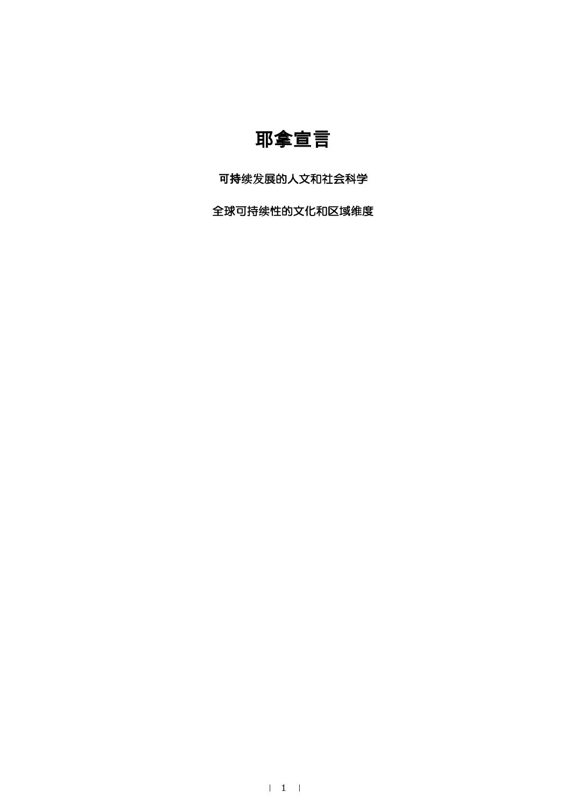## 耶拿宣言

可持续发展的人文和社会科学

全球可持续性的文化和区域维度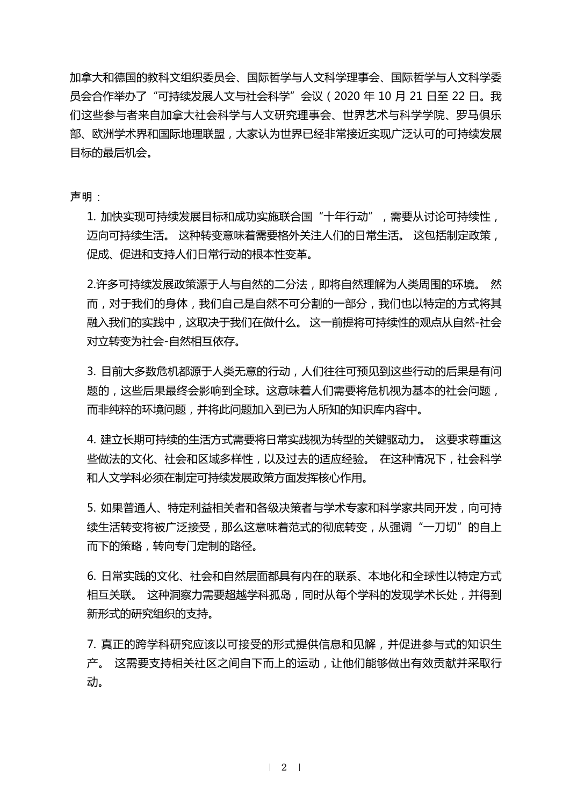加拿大和德国的教科文组织委员会、国际哲学与人文科学理事会、国际哲学与人文科学委 员会合作举办了"可持续发展人文与社会科学"会议(2020 年 10 月 21 日至 22 日。我 们这些参与者来自加拿大社会科学与人文研究理事会、世界艺术与科学学院、罗马俱乐 部、欧洲学术界和国际地理联盟,大家认为世界已经非常接近实现广泛认可的可持续发展 目标的最后机会。

声明·

1. 加快实现可持续发展目标和成功实施联合国"十年行动",需要从讨论可持续性, 迈向可持续生活。 这种转变意味着需要格外关注人们的日常生活。 这包括制定政策, 促成、促进和支持人们日常行动的根本性变革。

2.许多可持续发展政策源于人与自然的二分法,即将自然理解为人类周围的环境。 然 而,对于我们的身体,我们自己是自然不可分割的一部分,我们也以特定的方式将其 融入我们的实践中,这取决于我们在做什么。 这一前提将可持续性的观点从自然-社会 对立转变为社会-自然相互依存。

3. 目前大多数危机都源于人类无意的行动,人们往往可预见到这些行动的后果是有问 题的,这些后果最终会影响到全球。这意味着人们需要将危机视为基本的社会问题, 而非纯粹的环境问题,并将此问题加入到已为人所知的知识库内容中。

4. 建立长期可持续的生活方式需要将日常实践视为转型的关键驱动力。 这要求尊重这 些做法的文化、社会和区域多样性,以及过去的适应经验。 在这种情况下,社会科学 和人文学科必须在制定可持续发展政策方面发挥核心作用。

5. 如果普通人、特定利益相关者和各级决策者与学术专家和科学家共同开发, 向可持 续生活转变将被广泛接受,那么这意味着范式的彻底转变,从强调"一刀切"的自上 而下的策略,转向专门定制的路径。

6. 日常实践的文化、社会和自然层面都具有内在的联系、本地化和全球性以特定方式 相互关联。 这种洞察力需要超越学科孤岛,同时从每个学科的发现学术长处,并得到 新形式的研究组织的支持。

7. 真正的跨学科研究应该以可接受的形式提供信息和见解, 并促进参与式的知识生 产。 这需要支持相关社区之间自下而上的运动,让他们能够做出有效贡献并采取行 动。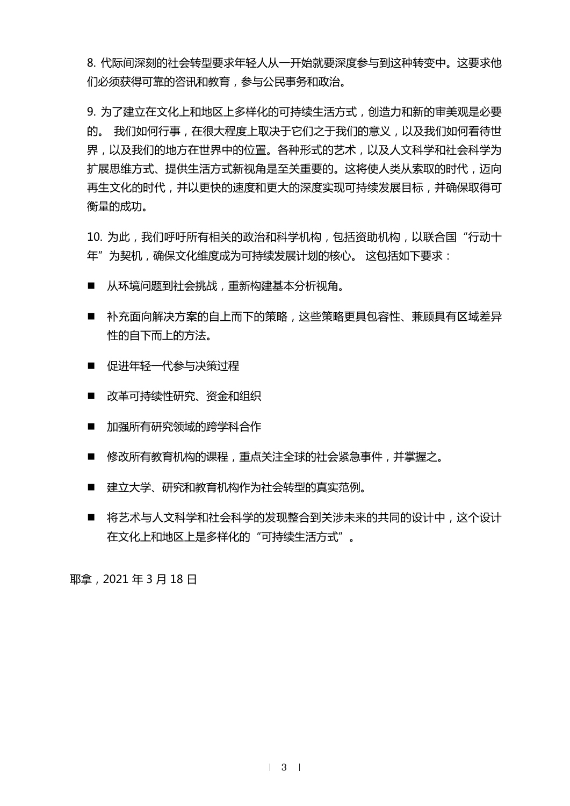8. 代际间深刻的社会转型要求年轻人从一开始就要深度参与到这种转变中。这要求他 们必须获得可靠的咨讯和教育,参与公民事务和政治。

9. 为了建立在文化上和地区上多样化的可持续生活方式,创造力和新的审美观是必要 的。 我们如何行事,在很大程度上取决于它们之于我们的意义,以及我们如何看待世 界,以及我们的地方在世界中的位置。各种形式的艺术,以及人文科学和社会科学为 扩展思维方式、提供生活方式新视角是至关重要的。这将使人类从索取的时代,迈向 再生文化的时代,并以更快的速度和更大的深度实现可持续发展目标,并确保取得可 衡量的成功。

10. 为此, 我们呼吁所有相关的政治和科学机构, 包括资助机构, 以联合国"行动十 年"为契机,确保文化维度成为可持续发展计划的核心。 这包括如下要求:

- 从环境问题到社会挑战, 重新构建基本分析视角。
- 补充面向解决方案的自上而下的策略,这些策略更具包容性、兼顾具有区域差异 性的自下而上的方法。
- 促讲年轻一代参与决策过程
- 改革可持续性研究、资金和组织
- 加强所有研究领域的跨学科合作
- 修改所有教育机构的课程,重点关注全球的社会紧急事件,并掌握之。
- 建立大学、研究和教育机构作为社会转型的真实范例。
- 将艺术与人文科学和社会科学的发现整合到关涉未来的共同的设计中,这个设计 在文化上和地区上是多样化的"可持续生活方式"。

耶拿,2021 年 3 月 18 日